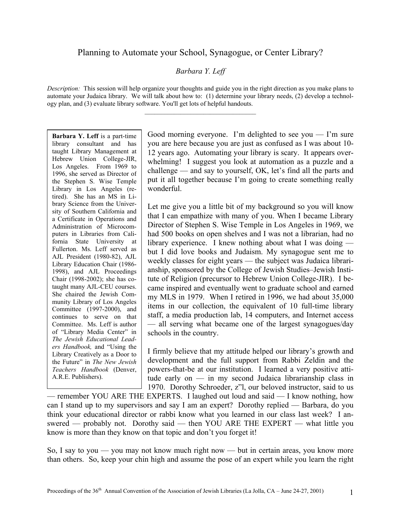# *Barbara Y. Leff*

*Description:* This session will help organize your thoughts and guide you in the right direction as you make plans to automate your Judaica library. We will talk about how to: (1) determine your library needs, (2) develop a technology plan, and (3) evaluate library software. You'll get lots of helpful handouts.

**Barbara Y. Leff** is a part-time library consultant and has taught Library Management at Hebrew Union College-JIR, Los Angeles. From 1969 to 1996, she served as Director of the Stephen S. Wise Temple Library in Los Angeles (retired). She has an MS in Library Science from the University of Southern California and a Certificate in Operations and Administration of Microcomputers in Libraries from California State University at Fullerton. Ms. Leff served as AJL President (1980-82), AJL Library Education Chair (1986- 1998), and AJL Proceedings Chair (1998-2002); she has cotaught many AJL-CEU courses. She chaired the Jewish Community Library of Los Angeles Committee (1997-2000), and continues to serve on that Committee. Ms. Leff is author of "Library Media Center" in *The Jewish Educational Leaders Handbook,* and "Using the Library Creatively as a Door to the Future" in *The New Jewish Teachers Handbook* (Denver, A.R.E. Publishers).

Good morning everyone. I'm delighted to see you  $-$  I'm sure you are here because you are just as confused as I was about 10- 12 years ago. Automating your library is scary. It appears overwhelming! I suggest you look at automation as a puzzle and a challenge — and say to yourself, OK, let's find all the parts and put it all together because I'm going to create something really wonderful.

Let me give you a little bit of my background so you will know that I can empathize with many of you. When I became Library Director of Stephen S. Wise Temple in Los Angeles in 1969, we had 500 books on open shelves and I was not a librarian, had no library experience. I knew nothing about what I was doing but I did love books and Judaism. My synagogue sent me to weekly classes for eight years — the subject was Judaica librarianship, sponsored by the College of Jewish Studies–Jewish Institute of Religion (precursor to Hebrew Union College-JIR). I became inspired and eventually went to graduate school and earned my MLS in 1979. When I retired in 1996, we had about 35,000 items in our collection, the equivalent of 10 full-time library staff, a media production lab, 14 computers, and Internet access — all serving what became one of the largest synagogues/day schools in the country.

I firmly believe that my attitude helped our library's growth and development and the full support from Rabbi Zeldin and the powers-that-be at our institution. I learned a very positive attitude early on — in my second Judaica librarianship class in 1970. Dorothy Schroeder, z"l, our beloved instructor, said to us

— remember YOU ARE THE EXPERTS. I laughed out loud and said — I know nothing, how can I stand up to my supervisors and say I am an expert? Dorothy replied — Barbara, do you think your educational director or rabbi know what you learned in our class last week? I answered — probably not. Dorothy said — then YOU ARE THE EXPERT — what little you know is more than they know on that topic and don't you forget it!

So, I say to you — you may not know much right now — but in certain areas, you know more than others. So, keep your chin high and assume the pose of an expert while you learn the right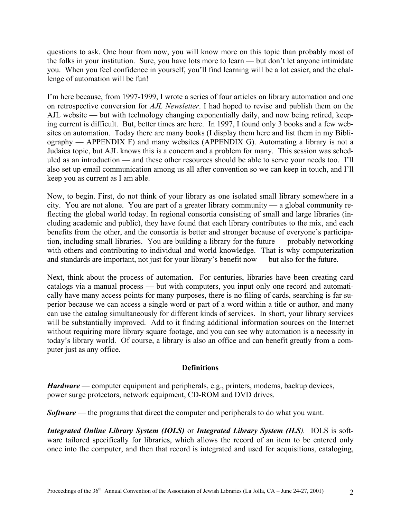questions to ask. One hour from now, you will know more on this topic than probably most of the folks in your institution. Sure, you have lots more to learn — but don't let anyone intimidate you. When you feel confidence in yourself, you'll find learning will be a lot easier, and the challenge of automation will be fun!

I'm here because, from 1997-1999, I wrote a series of four articles on library automation and one on retrospective conversion for *AJL Newsletter*. I had hoped to revise and publish them on the AJL website — but with technology changing exponentially daily, and now being retired, keeping current is difficult. But, better times are here. In 1997, I found only 3 books and a few websites on automation. Today there are many books (I display them here and list them in my Bibliography — APPENDIX F) and many websites (APPENDIX G). Automating a library is not a Judaica topic, but AJL knows this is a concern and a problem for many. This session was scheduled as an introduction — and these other resources should be able to serve your needs too. I'll also set up email communication among us all after convention so we can keep in touch, and I'll keep you as current as I am able.

Now, to begin. First, do not think of your library as one isolated small library somewhere in a city. You are not alone. You are part of a greater library community — a global community reflecting the global world today. In regional consortia consisting of small and large libraries (including academic and public), they have found that each library contributes to the mix, and each benefits from the other, and the consortia is better and stronger because of everyone's participation, including small libraries. You are building a library for the future — probably networking with others and contributing to individual and world knowledge. That is why computerization and standards are important, not just for your library's benefit now — but also for the future.

Next, think about the process of automation. For centuries, libraries have been creating card catalogs via a manual process — but with computers, you input only one record and automatically have many access points for many purposes, there is no filing of cards, searching is far superior because we can access a single word or part of a word within a title or author, and many can use the catalog simultaneously for different kinds of services. In short, your library services will be substantially improved. Add to it finding additional information sources on the Internet without requiring more library square footage, and you can see why automation is a necessity in today's library world. Of course, a library is also an office and can benefit greatly from a computer just as any office.

## **Definitions**

*Hardware* — computer equipment and peripherals, e.g., printers, modems, backup devices, power surge protectors, network equipment, CD-ROM and DVD drives.

*Software* — the programs that direct the computer and peripherals to do what you want.

*Integrated Online Library System (IOLS)* or *Integrated Library System (ILS).* IOLS is software tailored specifically for libraries, which allows the record of an item to be entered only once into the computer, and then that record is integrated and used for acquisitions, cataloging,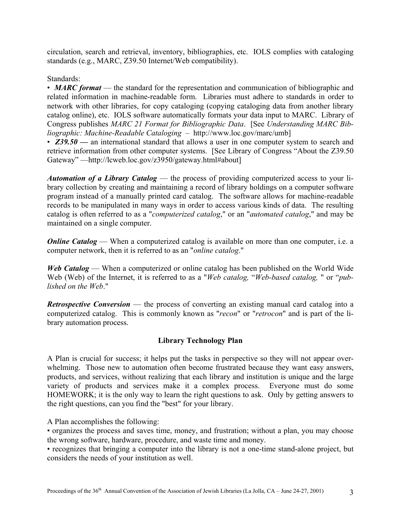circulation, search and retrieval, inventory, bibliographies, etc. IOLS complies with cataloging standards (e.g., MARC, Z39.50 Internet/Web compatibility).

Standards:

• *MARC format* — the standard for the representation and communication of bibliographic and related information in machine-readable form. Libraries must adhere to standards in order to network with other libraries, for copy cataloging (copying cataloging data from another library catalog online), etc. IOLS software automatically formats your data input to MARC. Library of Congress publishes *MARC 21 Format for Bibliographic Data*. [See *Understanding MARC Bibliographic: Machine-Readable Cataloging* – http://www.loc.gov/marc/umb]

• **Z39.50** — an international standard that allows a user in one computer system to search and retrieve information from other computer systems. [See Library of Congress "About the Z39.50 Gateway" —http://lcweb.loc.gov/z3950/gateway.html#about]

*Automation of a Library Catalog* — the process of providing computerized access to your library collection by creating and maintaining a record of library holdings on a computer software program instead of a manually printed card catalog. The software allows for machine-readable records to be manipulated in many ways in order to access various kinds of data. The resulting catalog is often referred to as a "*computerized catalog*," or an "*automated catalog*," and may be maintained on a single computer.

*Online Catalog* — When a computerized catalog is available on more than one computer, i.e. a computer network, then it is referred to as an "*online catalog*."

*Web Catalog* — When a computerized or online catalog has been published on the World Wide Web (Web) of the Internet, it is referred to as a "*Web catalog,* "*Web-based catalog,* " or "*published on the Web*."

*Retrospective Conversion* — the process of converting an existing manual card catalog into a computerized catalog. This is commonly known as "*recon*" or "*retrocon*" and is part of the library automation process.

## **Library Technology Plan**

A Plan is crucial for success; it helps put the tasks in perspective so they will not appear overwhelming. Those new to automation often become frustrated because they want easy answers, products, and services, without realizing that each library and institution is unique and the large variety of products and services make it a complex process. Everyone must do some HOMEWORK; it is the only way to learn the right questions to ask. Only by getting answers to the right questions, can you find the "best" for your library.

A Plan accomplishes the following:

• organizes the process and saves time, money, and frustration; without a plan, you may choose the wrong software, hardware, procedure, and waste time and money.

• recognizes that bringing a computer into the library is not a one-time stand-alone project, but considers the needs of your institution as well.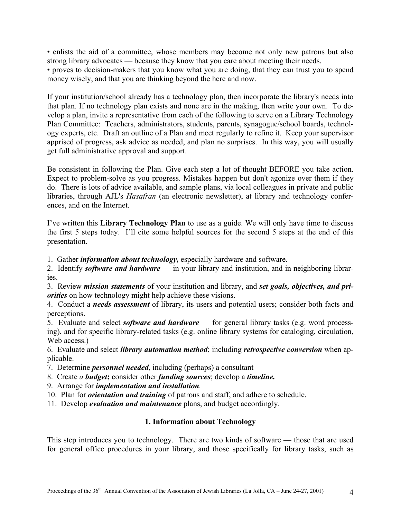• enlists the aid of a committee, whose members may become not only new patrons but also strong library advocates — because they know that you care about meeting their needs.

• proves to decision-makers that you know what you are doing, that they can trust you to spend money wisely, and that you are thinking beyond the here and now.

If your institution/school already has a technology plan, then incorporate the library's needs into that plan. If no technology plan exists and none are in the making, then write your own. To develop a plan, invite a representative from each of the following to serve on a Library Technology Plan Committee: Teachers, administrators, students, parents, synagogue/school boards, technology experts, etc. Draft an outline of a Plan and meet regularly to refine it. Keep your supervisor apprised of progress, ask advice as needed, and plan no surprises. In this way, you will usually get full administrative approval and support.

Be consistent in following the Plan. Give each step a lot of thought BEFORE you take action. Expect to problem-solve as you progress. Mistakes happen but don't agonize over them if they do. There is lots of advice available, and sample plans, via local colleagues in private and public libraries, through AJL's *Hasafran* (an electronic newsletter), at library and technology conferences, and on the Internet.

I've written this **Library Technology Plan** to use as a guide. We will only have time to discuss the first 5 steps today. I'll cite some helpful sources for the second 5 steps at the end of this presentation.

1. Gather *information about technology,* especially hardware and software.

2. Identify *software and hardware* — in your library and institution, and in neighboring libraries.

3. Review *mission statements* of your institution and library, and *set goals, objectives, and priorities* on how technology might help achieve these visions.

4. Conduct a *needs assessment* of library, its users and potential users; consider both facts and perceptions.

5. Evaluate and select *software and hardware* — for general library tasks (e.g. word processing), and for specific library-related tasks (e.g. online library systems for cataloging, circulation, Web access.)

6. Evaluate and select *library automation method*; including *retrospective conversion* when applicable.

- 7. Determine *personnel needed*, including (perhaps) a consultant
- 8. Create *a budget***;** consider other *funding sources*; develop a *timeline.*
- 9. Arrange for *implementation and installation.*
- 10. Plan for *orientation and training* of patrons and staff, and adhere to schedule.
- 11. Develop *evaluation and maintenance* plans, and budget accordingly.

### **1. Information about Technology**

This step introduces you to technology. There are two kinds of software — those that are used for general office procedures in your library, and those specifically for library tasks, such as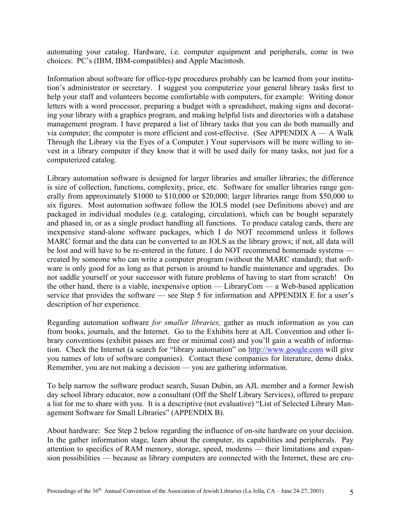automating your catalog. Hardware, i.e. computer equipment and peripherals, come in two choices: PC's (IBM, IBM-compatibles) and Apple Macintosh.

Information about software for office-type procedures probably can be learned from your institution's administrator or secretary. I suggest you computerize your general library tasks first to help your staff and volunteers become comfortable with computers, for example: Writing donor letters with a word processor, preparing a budget with a spreadsheet, making signs and decorating your library with a graphics program, and making helpful lists and directories with a database management program. I have prepared a list of library tasks that you can do both manually and via computer; the computer is more efficient and cost-effective. (See APPENDIX  $A - A$  Walk Through the Library via the Eyes of a Computer.) Your supervisors will be more willing to invest in a library computer if they know that it will be used daily for many tasks, not just for a computerized catalog.

Library automation software is designed for larger libraries and smaller libraries; the difference is size of collection, functions, complexity, price, etc. Software for smaller libraries range generally from approximately \$1000 to \$10,000 or \$20,000; larger libraries range from \$50,000 to six figures. Most automation software follow the IOLS model (see Definitions above) and are packaged in individual modules (e.g. cataloging, circulation), which can be bought separately and phased in, or as a single product handling all functions. To produce catalog cards, there are inexpensive stand-alone software packages, which I do NOT recommend unless it follows MARC format and the data can be converted to an IOLS as the library grows; if not, all data will be lost and will have to be re-entered in the future. I do NOT recommend homemade systems created by someone who can write a computer program (without the MARC standard); that software is only good for as long as that person is around to handle maintenance and upgrades. Do not saddle yourself or your successor with future problems of having to start from scratch! On the other hand, there is a viable, inexpensive option — LibraryCom — a Web-based application service that provides the software — see Step 5 for information and APPENDIX E for a user's description of her experience.

Regarding automation software *for smaller libraries,* gather as much information as you can from books, journals, and the Internet. Go to the Exhibits here at AJL Convention and other library conventions (exhibit passes are free or minimal cost) and you'll gain a wealth of information. Check the Internet (a search for "library automation" on [http://www.google.com](http://www.google.com/) will give you names of lots of software companies). Contact these companies for literature, demo disks. Remember, you are not making a decision — you are gathering information.

To help narrow the software product search, Susan Dubin, an AJL member and a former Jewish day school library educator, now a consultant (Off the Shelf Library Services), offered to prepare a list for me to share with you. It is a descriptive (not evaluative) "List of Selected Library Management Software for Small Libraries" (APPENDIX B).

About hardware: See Step 2 below regarding the influence of on-site hardware on your decision. In the gather information stage, learn about the computer, its capabilities and peripherals. Pay attention to specifics of RAM memory, storage, speed, modems — their limitations and expansion possibilities — because as library computers are connected with the Internet, these are cru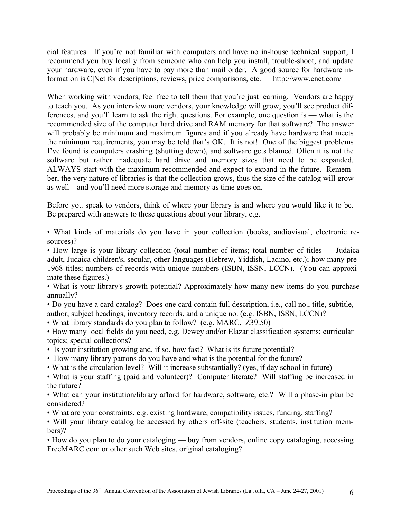cial features. If you're not familiar with computers and have no in-house technical support, I recommend you buy locally from someone who can help you install, trouble-shoot, and update your hardware, even if you have to pay more than mail order. A good source for hardware information is C|Net for descriptions, reviews, price comparisons, etc. — http://www.cnet.com/

When working with vendors, feel free to tell them that you're just learning. Vendors are happy to teach you. As you interview more vendors, your knowledge will grow, you'll see product differences, and you'll learn to ask the right questions. For example, one question is — what is the recommended size of the computer hard drive and RAM memory for that software? The answer will probably be minimum and maximum figures and if you already have hardware that meets the minimum requirements, you may be told that's OK. It is not! One of the biggest problems I've found is computers crashing (shutting down), and software gets blamed. Often it is not the software but rather inadequate hard drive and memory sizes that need to be expanded. ALWAYS start with the maximum recommended and expect to expand in the future. Remember, the very nature of libraries is that the collection grows, thus the size of the catalog will grow as well – and you'll need more storage and memory as time goes on.

Before you speak to vendors, think of where your library is and where you would like it to be. Be prepared with answers to these questions about your library, e.g.

• What kinds of materials do you have in your collection (books, audiovisual, electronic resources)?

• How large is your library collection (total number of items; total number of titles — Judaica adult, Judaica children's, secular, other languages (Hebrew, Yiddish, Ladino, etc.); how many pre-1968 titles; numbers of records with unique numbers (ISBN, ISSN, LCCN). (You can approximate these figures.)

• What is your library's growth potential? Approximately how many new items do you purchase annually?

• Do you have a card catalog? Does one card contain full description, i.e., call no., title, subtitle, author, subject headings, inventory records, and a unique no. (e.g. ISBN, ISSN, LCCN)?

• What library standards do you plan to follow? (e.g. MARC, Z39.50)

• How many local fields do you need, e.g. Dewey and/or Elazar classification systems; curricular topics; special collections?

- Is your institution growing and, if so, how fast? What is its future potential?
- How many library patrons do you have and what is the potential for the future?
- What is the circulation level? Will it increase substantially? (yes, if day school in future)

• What is your staffing (paid and volunteer)? Computer literate? Will staffing be increased in the future?

• What can your institution/library afford for hardware, software, etc.? Will a phase-in plan be considered?

• What are your constraints, e.g. existing hardware, compatibility issues, funding, staffing?

• Will your library catalog be accessed by others off-site (teachers, students, institution members)?

• How do you plan to do your cataloging — buy from vendors, online copy cataloging, accessing FreeMARC.com or other such Web sites, original cataloging?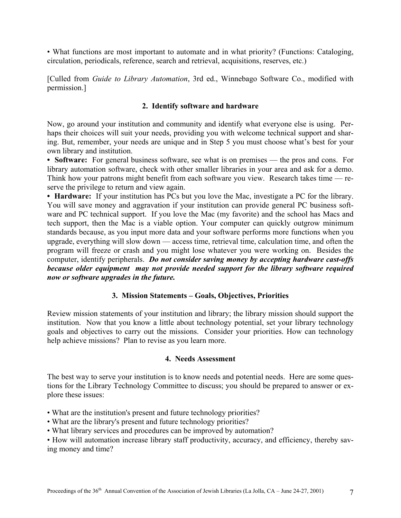• What functions are most important to automate and in what priority? (Functions: Cataloging, circulation, periodicals, reference, search and retrieval, acquisitions, reserves, etc.)

[Culled from *Guide to Library Automation*, 3rd ed., Winnebago Software Co., modified with permission.]

### **2. Identify software and hardware**

Now, go around your institution and community and identify what everyone else is using. Perhaps their choices will suit your needs, providing you with welcome technical support and sharing. But, remember, your needs are unique and in Step 5 you must choose what's best for your own library and institution.

• **Software:** For general business software, see what is on premises — the pros and cons. For library automation software, check with other smaller libraries in your area and ask for a demo. Think how your patrons might benefit from each software you view. Research takes time — reserve the privilege to return and view again.

**• Hardware:** If your institution has PCs but you love the Mac, investigate a PC for the library. You will save money and aggravation if your institution can provide general PC business software and PC technical support. If you love the Mac (my favorite) and the school has Macs and tech support, then the Mac is a viable option. Your computer can quickly outgrow minimum standards because, as you input more data and your software performs more functions when you upgrade, everything will slow down — access time, retrieval time, calculation time, and often the program will freeze or crash and you might lose whatever you were working on. Besides the computer, identify peripherals. *Do not consider saving money by accepting hardware cast-offs because older equipment may not provide needed support for the library software required now or software upgrades in the future.*

### **3. Mission Statements – Goals, Objectives, Priorities**

Review mission statements of your institution and library; the library mission should support the institution. Now that you know a little about technology potential, set your library technology goals and objectives to carry out the missions. Consider your priorities. How can technology help achieve missions? Plan to revise as you learn more.

### **4. Needs Assessment**

The best way to serve your institution is to know needs and potential needs. Here are some questions for the Library Technology Committee to discuss; you should be prepared to answer or explore these issues:

- What are the institution's present and future technology priorities?
- What are the library's present and future technology priorities?
- What library services and procedures can be improved by automation?

• How will automation increase library staff productivity, accuracy, and efficiency, thereby saving money and time?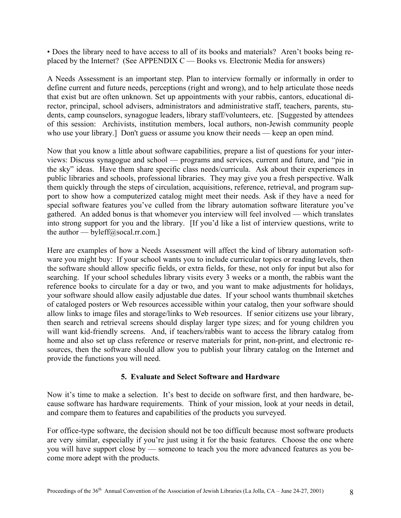• Does the library need to have access to all of its books and materials? Aren't books being replaced by the Internet? (See APPENDIX  $C -$  Books vs. Electronic Media for answers)

A Needs Assessment is an important step. Plan to interview formally or informally in order to define current and future needs, perceptions (right and wrong), and to help articulate those needs that exist but are often unknown. Set up appointments with your rabbis, cantors, educational director, principal, school advisers, administrators and administrative staff, teachers, parents, students, camp counselors, synagogue leaders, library staff/volunteers, etc. [Suggested by attendees of this session: Archivists, institution members, local authors, non-Jewish community people who use your library.] Don't guess or assume you know their needs — keep an open mind.

Now that you know a little about software capabilities, prepare a list of questions for your interviews: Discuss synagogue and school — programs and services, current and future, and "pie in the sky" ideas. Have them share specific class needs/curricula. Ask about their experiences in public libraries and schools, professional libraries. They may give you a fresh perspective. Walk them quickly through the steps of circulation, acquisitions, reference, retrieval, and program support to show how a computerized catalog might meet their needs. Ask if they have a need for special software features you've culled from the library automation software literature you've gathered. An added bonus is that whomever you interview will feel involved — which translates into strong support for you and the library. [If you'd like a list of interview questions, write to the author — byleff@socal.rr.com.]

Here are examples of how a Needs Assessment will affect the kind of library automation software you might buy: If your school wants you to include curricular topics or reading levels, then the software should allow specific fields, or extra fields, for these, not only for input but also for searching. If your school schedules library visits every 3 weeks or a month, the rabbis want the reference books to circulate for a day or two, and you want to make adjustments for holidays, your software should allow easily adjustable due dates. If your school wants thumbnail sketches of cataloged posters or Web resources accessible within your catalog, then your software should allow links to image files and storage/links to Web resources. If senior citizens use your library, then search and retrieval screens should display larger type sizes; and for young children you will want kid-friendly screens. And, if teachers/rabbis want to access the library catalog from home and also set up class reference or reserve materials for print, non-print, and electronic resources, then the software should allow you to publish your library catalog on the Internet and provide the functions you will need.

### **5. Evaluate and Select Software and Hardware**

Now it's time to make a selection. It's best to decide on software first, and then hardware, because software has hardware requirements. Think of your mission, look at your needs in detail, and compare them to features and capabilities of the products you surveyed.

For office-type software, the decision should not be too difficult because most software products are very similar, especially if you're just using it for the basic features. Choose the one where you will have support close by — someone to teach you the more advanced features as you become more adept with the products.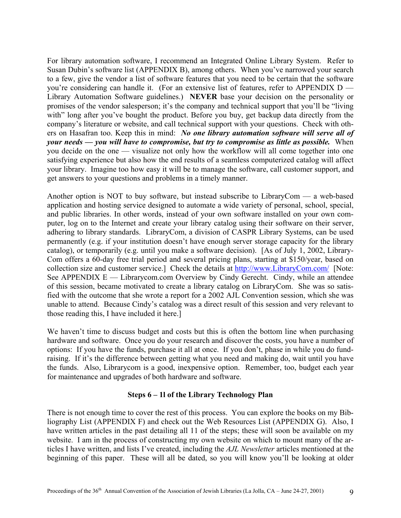For library automation software, I recommend an Integrated Online Library System. Refer to Susan Dubin's software list (APPENDIX B), among others. When you've narrowed your search to a few, give the vendor a list of software features that you need to be certain that the software you're considering can handle it. (For an extensive list of features, refer to APPENDIX D — Library Automation Software guidelines.) **NEVER** base your decision on the personality or promises of the vendor salesperson; it's the company and technical support that you'll be "living with" long after you've bought the product. Before you buy, get backup data directly from the company's literature or website, and call technical support with your questions. Check with others on Hasafran too. Keep this in mind: *No one library automation software will serve all of your needs — you will have to compromise, but try to compromise as little as possible.* When you decide on the one — visualize not only how the workflow will all come together into one satisfying experience but also how the end results of a seamless computerized catalog will affect your library. Imagine too how easy it will be to manage the software, call customer support, and get answers to your questions and problems in a timely manner.

Another option is NOT to buy software, but instead subscribe to LibraryCom — a web-based application and hosting service designed to automate a wide variety of personal, school, special, and public libraries. In other words, instead of your own software installed on your own computer, log on to the Internet and create your library catalog using their software on their server, adhering to library standards. LibraryCom, a division of CASPR Library Systems, can be used permanently (e.g. if your institution doesn't have enough server storage capacity for the library catalog), or temporarily (e.g. until you make a software decision). [As of July 1, 2002, Library-Com offers a 60-day free trial period and several pricing plans, starting at \$150/year, based on collection size and customer service.] Check the details at <http://www.LibraryCom.com/>[Note: See APPENDIX E — Librarycom.com Overview by Cindy Gerecht. Cindy, while an attendee of this session, became motivated to create a library catalog on LibraryCom. She was so satisfied with the outcome that she wrote a report for a 2002 AJL Convention session, which she was unable to attend. Because Cindy's catalog was a direct result of this session and very relevant to those reading this, I have included it here.]

We haven't time to discuss budget and costs but this is often the bottom line when purchasing hardware and software. Once you do your research and discover the costs, you have a number of options: If you have the funds, purchase it all at once. If you don't, phase in while you do fundraising. If it's the difference between getting what you need and making do, wait until you have the funds. Also, Librarycom is a good, inexpensive option. Remember, too, budget each year for maintenance and upgrades of both hardware and software.

## **Steps 6 – 1l of the Library Technology Plan**

There is not enough time to cover the rest of this process. You can explore the books on my Bibliography List (APPENDIX F) and check out the Web Resources List (APPENDIX G). Also, I have written articles in the past detailing all 11 of the steps; these will soon be available on my website. I am in the process of constructing my own website on which to mount many of the articles I have written, and lists I've created, including the *AJL Newsletter* articles mentioned at the beginning of this paper. These will all be dated, so you will know you'll be looking at older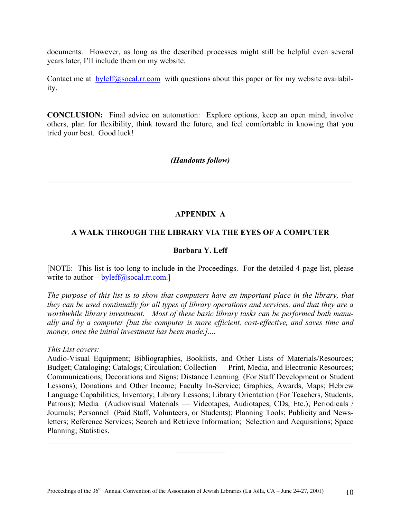documents. However, as long as the described processes might still be helpful even several years later, I'll include them on my website.

Contact me at  $b$ yleff $(a)$ socal.rr.com with questions about this paper or for my website availability.

**CONCLUSION:** Final advice on automation: Explore options, keep an open mind, involve others, plan for flexibility, think toward the future, and feel comfortable in knowing that you tried your best. Good luck!

### *(Handouts follow)*

 $\mathcal{L}_\mathcal{L} = \{ \mathcal{L}_\mathcal{L} = \{ \mathcal{L}_\mathcal{L} = \{ \mathcal{L}_\mathcal{L} = \{ \mathcal{L}_\mathcal{L} = \{ \mathcal{L}_\mathcal{L} = \{ \mathcal{L}_\mathcal{L} = \{ \mathcal{L}_\mathcal{L} = \{ \mathcal{L}_\mathcal{L} = \{ \mathcal{L}_\mathcal{L} = \{ \mathcal{L}_\mathcal{L} = \{ \mathcal{L}_\mathcal{L} = \{ \mathcal{L}_\mathcal{L} = \{ \mathcal{L}_\mathcal{L} = \{ \mathcal{L}_\mathcal{$  $\frac{1}{2}$ 

## **APPENDIX A**

### **A WALK THROUGH THE LIBRARY VIA THE EYES OF A COMPUTER**

### **Barbara Y. Leff**

[NOTE: This list is too long to include in the Proceedings. For the detailed 4-page list, please write to author  $-\text{byleft}(\partial s \text{ocal}.\text{rr.com.}]$ 

*The purpose of this list is to show that computers have an important place in the library, that they can be used continually for all types of library operations and services, and that they are a worthwhile library investment. Most of these basic library tasks can be performed both manually and by a computer [but the computer is more efficient, cost-effective, and saves time and money, once the initial investment has been made.]....* 

*This List covers:* 

Audio-Visual Equipment; Bibliographies, Booklists, and Other Lists of Materials/Resources; Budget; Cataloging; Catalogs; Circulation; Collection — Print, Media, and Electronic Resources; Communications; Decorations and Signs; Distance Learning (For Staff Development or Student Lessons); Donations and Other Income; Faculty In-Service; Graphics, Awards, Maps; Hebrew Language Capabilities; Inventory; Library Lessons; Library Orientation (For Teachers, Students, Patrons); Media (Audiovisual Materials — Videotapes, Audiotapes, CDs, Etc.); Periodicals / Journals; Personnel (Paid Staff, Volunteers, or Students); Planning Tools; Publicity and Newsletters; Reference Services; Search and Retrieve Information; Selection and Acquisitions; Space Planning; Statistics.

 $\mathcal{L}_\mathcal{L} = \{ \mathcal{L}_\mathcal{L} = \{ \mathcal{L}_\mathcal{L} = \{ \mathcal{L}_\mathcal{L} = \{ \mathcal{L}_\mathcal{L} = \{ \mathcal{L}_\mathcal{L} = \{ \mathcal{L}_\mathcal{L} = \{ \mathcal{L}_\mathcal{L} = \{ \mathcal{L}_\mathcal{L} = \{ \mathcal{L}_\mathcal{L} = \{ \mathcal{L}_\mathcal{L} = \{ \mathcal{L}_\mathcal{L} = \{ \mathcal{L}_\mathcal{L} = \{ \mathcal{L}_\mathcal{L} = \{ \mathcal{L}_\mathcal{$  $\frac{1}{2}$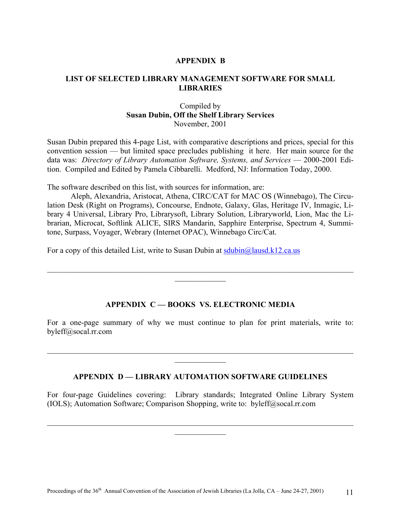### **APPENDIX B**

#### **LIST OF SELECTED LIBRARY MANAGEMENT SOFTWARE FOR SMALL LIBRARIES**

### Compiled by **Susan Dubin, Off the Shelf Library Services**  November, 2001

Susan Dubin prepared this 4-page List, with comparative descriptions and prices, special for this convention session — but limited space precludes publishing it here. Her main source for the data was: *Directory of Library Automation Software, Systems, and Services* — 2000-2001 Edition. Compiled and Edited by Pamela Cibbarelli. Medford, NJ: Information Today, 2000.

The software described on this list, with sources for information, are:

Aleph, Alexandria, Aristocat, Athena, CIRC/CAT for MAC OS (Winnebago), The Circulation Desk (Right on Programs), Concourse, Endnote, Galaxy, Glas, Heritage IV, Inmagic, Library 4 Universal, Library Pro, Librarysoft, Library Solution, Libraryworld, Lion, Mac the Librarian, Microcat, Softlink ALICE, SIRS Mandarin, Sapphire Enterprise, Spectrum 4, Summitone, Surpass, Voyager, Webrary (Internet OPAC), Winnebago Circ/Cat.

For a copy of this detailed List, write to Susan Dubin at [sdubin@lausd.k12.ca.us](mailto:sdubin@lausd.k12.ca.us)

#### **APPENDIX C — BOOKS VS. ELECTRONIC MEDIA**

 $\mathcal{L}_\mathcal{L} = \{ \mathcal{L}_\mathcal{L} = \{ \mathcal{L}_\mathcal{L} = \{ \mathcal{L}_\mathcal{L} = \{ \mathcal{L}_\mathcal{L} = \{ \mathcal{L}_\mathcal{L} = \{ \mathcal{L}_\mathcal{L} = \{ \mathcal{L}_\mathcal{L} = \{ \mathcal{L}_\mathcal{L} = \{ \mathcal{L}_\mathcal{L} = \{ \mathcal{L}_\mathcal{L} = \{ \mathcal{L}_\mathcal{L} = \{ \mathcal{L}_\mathcal{L} = \{ \mathcal{L}_\mathcal{L} = \{ \mathcal{L}_\mathcal{$  $\frac{1}{2}$ 

For a one-page summary of why we must continue to plan for print materials, write to: byleff@socal.rr.com

 $\mathcal{L}_\mathcal{L} = \{ \mathcal{L}_\mathcal{L} = \{ \mathcal{L}_\mathcal{L} = \{ \mathcal{L}_\mathcal{L} = \{ \mathcal{L}_\mathcal{L} = \{ \mathcal{L}_\mathcal{L} = \{ \mathcal{L}_\mathcal{L} = \{ \mathcal{L}_\mathcal{L} = \{ \mathcal{L}_\mathcal{L} = \{ \mathcal{L}_\mathcal{L} = \{ \mathcal{L}_\mathcal{L} = \{ \mathcal{L}_\mathcal{L} = \{ \mathcal{L}_\mathcal{L} = \{ \mathcal{L}_\mathcal{L} = \{ \mathcal{L}_\mathcal{$  $\frac{1}{2}$ 

#### **APPENDIX D — LIBRARY AUTOMATION SOFTWARE GUIDELINES**

For four-page Guidelines covering: Library standards; Integrated Online Library System (IOLS); Automation Software; Comparison Shopping, write to: byleff@socal.rr.com

 $\_$  , and the contribution of the contribution of the contribution of the contribution of  $\mathcal{L}_\text{max}$  $\frac{1}{2}$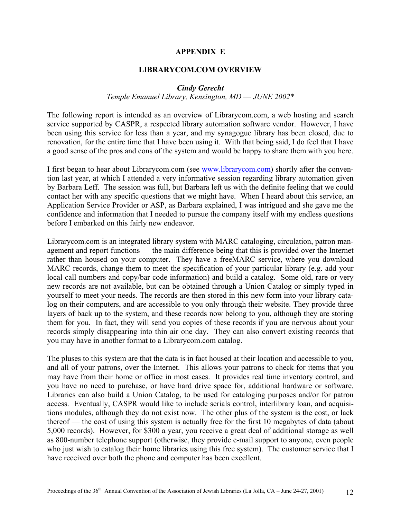#### **APPENDIX E**

#### **LIBRARYCOM.COM OVERVIEW**

#### *Cindy Gerecht*

### *Temple Emanuel Library, Kensington, MD* — *JUNE 2002\**

The following report is intended as an overview of Librarycom.com, a web hosting and search service supported by CASPR, a respected library automation software vendor. However, I have been using this service for less than a year, and my synagogue library has been closed, due to renovation, for the entire time that I have been using it. With that being said, I do feel that I have a good sense of the pros and cons of the system and would be happy to share them with you here.

I first began to hear about Librarycom.com (see [www.librarycom.com](http://www.librarycom.com/)) shortly after the convention last year, at which I attended a very informative session regarding library automation given by Barbara Leff. The session was full, but Barbara left us with the definite feeling that we could contact her with any specific questions that we might have. When I heard about this service, an Application Service Provider or ASP, as Barbara explained, I was intrigued and she gave me the confidence and information that I needed to pursue the company itself with my endless questions before I embarked on this fairly new endeavor.

Librarycom.com is an integrated library system with MARC cataloging, circulation, patron management and report functions — the main difference being that this is provided over the Internet rather than housed on your computer. They have a freeMARC service, where you download MARC records, change them to meet the specification of your particular library (e.g. add your local call numbers and copy/bar code information) and build a catalog. Some old, rare or very new records are not available, but can be obtained through a Union Catalog or simply typed in yourself to meet your needs. The records are then stored in this new form into your library catalog on their computers, and are accessible to you only through their website. They provide three layers of back up to the system, and these records now belong to you, although they are storing them for you. In fact, they will send you copies of these records if you are nervous about your records simply disappearing into thin air one day. They can also convert existing records that you may have in another format to a Librarycom.com catalog.

The pluses to this system are that the data is in fact housed at their location and accessible to you, and all of your patrons, over the Internet. This allows your patrons to check for items that you may have from their home or office in most cases. It provides real time inventory control, and you have no need to purchase, or have hard drive space for, additional hardware or software. Libraries can also build a Union Catalog, to be used for cataloging purposes and/or for patron access. Eventually, CASPR would like to include serials control, interlibrary loan, and acquisitions modules, although they do not exist now. The other plus of the system is the cost, or lack thereof — the cost of using this system is actually free for the first 10 megabytes of data (about 5,000 records). However, for \$300 a year, you receive a great deal of additional storage as well as 800-number telephone support (otherwise, they provide e-mail support to anyone, even people who just wish to catalog their home libraries using this free system). The customer service that I have received over both the phone and computer has been excellent.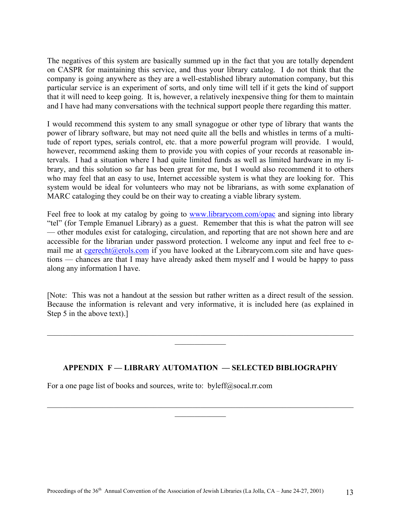The negatives of this system are basically summed up in the fact that you are totally dependent on CASPR for maintaining this service, and thus your library catalog. I do not think that the company is going anywhere as they are a well-established library automation company, but this particular service is an experiment of sorts, and only time will tell if it gets the kind of support that it will need to keep going. It is, however, a relatively inexpensive thing for them to maintain and I have had many conversations with the technical support people there regarding this matter.

I would recommend this system to any small synagogue or other type of library that wants the power of library software, but may not need quite all the bells and whistles in terms of a multitude of report types, serials control, etc. that a more powerful program will provide. I would, however, recommend asking them to provide you with copies of your records at reasonable intervals. I had a situation where I had quite limited funds as well as limited hardware in my library, and this solution so far has been great for me, but I would also recommend it to others who may feel that an easy to use, Internet accessible system is what they are looking for. This system would be ideal for volunteers who may not be librarians, as with some explanation of MARC cataloging they could be on their way to creating a viable library system.

Feel free to look at my catalog by going to [www.librarycom.com/opac](http://www.librarycom.com/opac) and signing into library "tel" (for Temple Emanuel Library) as a guest. Remember that this is what the patron will see — other modules exist for cataloging, circulation, and reporting that are not shown here and are accessible for the librarian under password protection. I welcome any input and feel free to email me at  $c<sub>gerecht</sub>(a)<sub>erols.com</sub>$  if you have looked at the Librarycom.com site and have questions — chances are that I may have already asked them myself and I would be happy to pass along any information I have.

[Note: This was not a handout at the session but rather written as a direct result of the session. Because the information is relevant and very informative, it is included here (as explained in Step 5 in the above text).]

 $\mathcal{L}_\text{max}$  , and the contribution of the contribution of the contribution of the contribution of the contribution of the contribution of the contribution of the contribution of the contribution of the contribution of t  $\frac{1}{2}$ 

## **APPENDIX F — LIBRARY AUTOMATION — SELECTED BIBLIOGRAPHY**

 $\mathcal{L}_\text{max}$  , and the contribution of the contribution of the contribution of the contribution of the contribution of the contribution of the contribution of the contribution of the contribution of the contribution of t  $\frac{1}{2}$ 

For a one page list of books and sources, write to: byleff@socal.rr.com